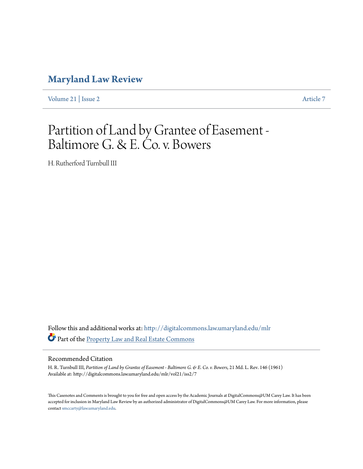## **[Maryland Law Review](http://digitalcommons.law.umaryland.edu/mlr?utm_source=digitalcommons.law.umaryland.edu%2Fmlr%2Fvol21%2Fiss2%2F7&utm_medium=PDF&utm_campaign=PDFCoverPages)**

[Volume 21](http://digitalcommons.law.umaryland.edu/mlr/vol21?utm_source=digitalcommons.law.umaryland.edu%2Fmlr%2Fvol21%2Fiss2%2F7&utm_medium=PDF&utm_campaign=PDFCoverPages) | [Issue 2](http://digitalcommons.law.umaryland.edu/mlr/vol21/iss2?utm_source=digitalcommons.law.umaryland.edu%2Fmlr%2Fvol21%2Fiss2%2F7&utm_medium=PDF&utm_campaign=PDFCoverPages) [Article 7](http://digitalcommons.law.umaryland.edu/mlr/vol21/iss2/7?utm_source=digitalcommons.law.umaryland.edu%2Fmlr%2Fvol21%2Fiss2%2F7&utm_medium=PDF&utm_campaign=PDFCoverPages)

# Partition of Land by Grantee of Easement - Baltimore G. & E. Co. v. Bowers

H. Rutherford Turnbull III

Follow this and additional works at: [http://digitalcommons.law.umaryland.edu/mlr](http://digitalcommons.law.umaryland.edu/mlr?utm_source=digitalcommons.law.umaryland.edu%2Fmlr%2Fvol21%2Fiss2%2F7&utm_medium=PDF&utm_campaign=PDFCoverPages) Part of the [Property Law and Real Estate Commons](http://network.bepress.com/hgg/discipline/897?utm_source=digitalcommons.law.umaryland.edu%2Fmlr%2Fvol21%2Fiss2%2F7&utm_medium=PDF&utm_campaign=PDFCoverPages)

### Recommended Citation

H. R. Turnbull III, *Partition of Land by Grantee of Easement - Baltimore G. & E. Co. v. Bowers*, 21 Md. L. Rev. 146 (1961) Available at: http://digitalcommons.law.umaryland.edu/mlr/vol21/iss2/7

This Casenotes and Comments is brought to you for free and open access by the Academic Journals at DigitalCommons@UM Carey Law. It has been accepted for inclusion in Maryland Law Review by an authorized administrator of DigitalCommons@UM Carey Law. For more information, please contact [smccarty@law.umaryland.edu.](mailto:smccarty@law.umaryland.edu)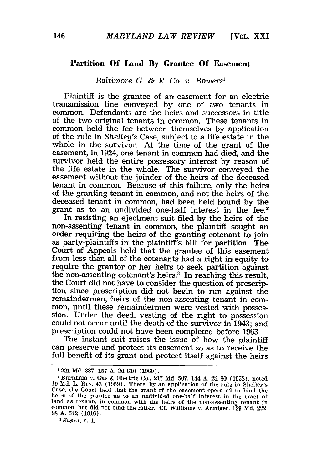#### **Partition Of Land By Grantee Of Easement**

#### *Baltimore G. & E. Co.* v. *Bowers'*

Plaintiff is the grantee of an easement for an electric transmission line conveyed by one of two tenants in common. Defendants are the heirs and successors in title of the two original tenants in common. These tenants in common held the fee between themselves by application of the rule in *Shelley's* Case, subject to a life estate in the whole in the survivor. At the time of the grant of the easement, in 1924, one tenant in common had died, and the survivor held the entire possessory interest by reason of the life estate in the whole. The survivor conveyed the easement without the joinder of the heirs of the deceased tenant in common. Because of this failure, only the heirs of the granting tenant in common, and not the heirs of the deceased tenant in common, had been held bound by the grant as to an undivided one-half interest in the fee.2

In resisting an ejectment suit filed by the heirs of the non-assenting tenant in common, the plaintiff sought an order requiring the heirs of the granting cotenant to join as party-plaintiffs in the plaintiff's bill for partition. The Court of Appeals held that the grantee of this easement from less than all of the cotenants had a right in equity to require the grantor or her heirs to seek partition against<br>the non-assenting cotenant's heirs.<sup>3</sup> In reaching this result,<br>the Court did not have to consider the question of prescription since prescription did not begin to run against the remaindermen, heirs of the non-assenting tenant in common, until these remaindermen were vested with posses- sion. Under the deed, vesting of the right to possession could not occur until the death of the survivor in 1943; and. prescription could not have been completed before 1963.

The instant suit raises the issue of how the plaintiff can preserve and protect its easement so as to receive the full benefit of its grant and protect itself against the heirs

*8 Supra, n.* 1.

<sup>1221</sup> Md. 337, **157** A. 2d **610** (1960).

IBurnham v. Gas & Electric Co., **217** Md. 507, 144 A. 2d 80 (1958), noted 19 Md. L. Rev. 43 (1959). There, by an application of the rule in Shelley's Case, the Court held that the grant of the easement operated to bind the heirs of the grantor as to an undivided one-half interest in the tract of land as tenants in common with the heirs of the non-assenting tenant in common, but did not bind the latter. Cf. Williams v. Armiger, 129 Md. 222, 98 **A.** 542 (1916).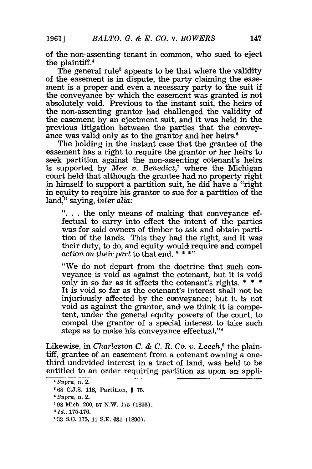of the non-assenting tenant in common, who sued to eject the plaintiff.4

The general rule<sup>5</sup> appears to be that where the validity of the easement is in dispute, the party claiming the easement is a proper and even a necessary party to the suit if the conveyance by which the easement was granted is not absolutely void. Previous to the instant suit, the heirs of the non-assenting grantor had challenged the validity of the easement by an ejectment suit, and it was held in the previous litigation between the parties that the conveyance was valid only as to the grantor and her heirs.<sup>6</sup>

The holding in the instant case that the grantee of the easement has a right to require the grantor or her heirs to seek partition against the non-assenting cotenant's heirs is supported by *Mee v. Benedict*,<sup>7</sup> where the Michigan court held that although the grantee had no property right in himself to support a partition suit, he did have a "right in equity to require his grantor to sue for a partition of the land," saying, *inter alia:*

**"..** . the only means of making that conveyance effectual to carry into effect the intent of the parties was for said owners of timber to ask and obtain partition of the lands. This they had the right, and it was their duty, to do, and equity would require and compel action on *their part* to that end. \* **\* \*)**

"We do not depart from the doctrine that such conveyance is void as against the cotenant, but it is void only in so far as it affects the cotenant's rights. \* \* \* It is void so far as the cotenant's interest shall not be injuriously affected by the conveyance; but it is not void as against the grantor, and we think it is competent, under the general equity powers of the court, to compel the grantor of a special interest to take such steps as to make his conveyance effectual."<sup>8</sup>

Likewise, in *Charleston C. & C. R. Co. v. Leech*,<sup>9</sup> the plaintiff, grantee of an easement from a cotenant owning a onethird undivided interest in a tract of land, was held to be entitled to an order requiring partition as upon an appli-

*<sup>&#</sup>x27;Supra,* n. 2.

**<sup>5</sup>** 68 **C.J.S.** 118, Partition, § 75.

**<sup>6</sup>** *Supra,* n. 2.

<sup>&#</sup>x27;98 Mich. 260, 57 N.W. 175 (1893).

**<sup>8</sup>** *Id.,* 175-176.

**<sup>9</sup> 33 S.C.** 175, 11 **S.E. 631 (1890).**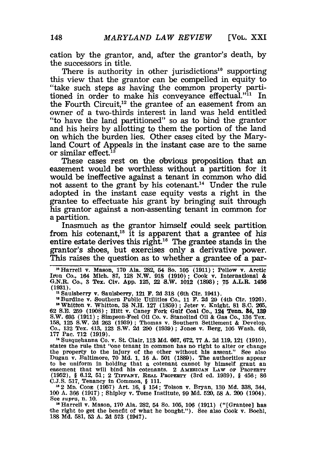cation by the grantor, and, after the grantor's death, by the successors in title.

There is authority in other jurisdictions<sup>10</sup> supporting this view that the grantor can be compelled in equity to "take such steps as having the common property partitioned in order to make his conveyance effectual."<sup>11</sup> In the Fourth Circuit,<sup>12</sup> the grantee of an easement from an owner of a two-thirds interest in land was held entitled "to have the land partitioned" so as to bind the grantor and his heirs by allotting to them the portion of the land on which the burden lies. Other cases cited by the Maryland Court of Appeals in the instant case are to the same or similar effect.<sup>13</sup>

These cases rest on the Obvious proposition that an easement would be worthless without a partition for it would be ineffective against a tenant in common who did not assent to the grant by his cotenant.<sup>14</sup> Under the rule adopted in the instant case equity vests a right in the grantee to effectuate his grant by bringing suit through his grantor against a non-assenting tenant in common for a partition.

Inasmuch as the grantor himself could seek partition from his cotenant,<sup>15</sup> it is apparent that a grantee of his entire estate derives this right.<sup>16</sup> The grantee stands in the grantor's shoes, but exercises only a derivative power. This raises the question as to whether a grantee of a par-

<sup>10</sup> Harrell v. Mason, 170 Ala. 282, 54 So. 105 (1911); Pellow v. Arctic Iron Co., 164 Mich. 87, 128 N.W. 918 (1910); Cook v. International & G.N.R. Co., 3 Tex. Civ. **App. 125,** 22 S.W. 1012 **(1893); 75** A.L.R. 1456 **(1931).**

**n** Saulsberry v. Saulsberry, 121 **F. 2d 318** (6th Cir. 1941).

"Burdine v. Southern Public Utilities Co., 11 F. 2d 29 (4th Cir. 1926).<br>"Whitton v. Whitton, 38 N.H. 127 (1859); Jeter v. Knight, 81 S.C. 265<br>62 S.E. 259 (1908); Hitt v. Caney Fork Gulf Coal Co., 124 Tenn. 84, 139 S.W. **693 (1911) ;** Simpson-Feel **Oil** Co. v. Stanolind Oil **&** Gas Co., **136** Tex. **158, 125 S.W. 2d 263 (1939) ;** Thomas v. Southern Settlement & Develop. Co., **132** Tex. 413, **123** S.W. **2d 290** (1939) **;** Jones v. Berg, **105** Wash. **69, 177** Pac. **712 (1919).**

<sup>14</sup> Susquehanna Co. v. St. Clair, 113 Md. 667, 672, 77 A. 2d 119, 121 (1910),<br>states the rule that "one tenant in common has no right to alter or change the property to the injury **of** the other without his assent." See also Dugan v. Baltimore, **70 Md. 1, 16 A. 501 (1889).** The authorities appear to be uniform in holding that a cotenant cannot by himself grant an easement that will bind his cotenants. 2 AMERICAN LAW OF PROPERTY (1952), § 6.12, 51; 2 TIFFANY, REAL PROPERTY (3rd ed. 1939), § 456; 86

C.J.S. 517, Tenancy In Common, § 111.<br>
<sup>15</sup> 2 Mp. Copg (1957) Art. 16, § 154; Tolson v. Bryan, 130 Md. 338, 344<br>
100 A. 366 (1917); Shipley v. Tome Institute, 99 Md. 520, 58 A. 200 (1904). See *supra,* n. **10.** <sup>1</sup>

0Harrell v. Mason, **170** Ala. 282, **54 So. 105, 106 (1911)** ("[Grantee] has the right to get the benefit of what he bought."). See also Cook **v.** Boehl, **188 Md. 581, 53 A.** 2d **573** (1947).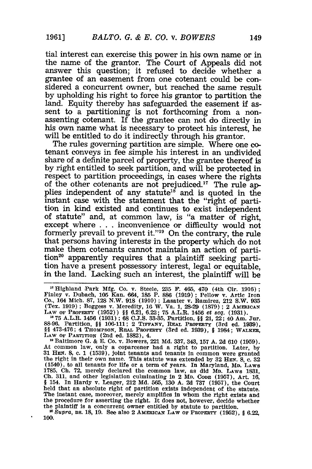tial interest can exercise this power in his own name or in the name of the grantor. The Court of Appeals did not answer this question; it refused to decide whether a grantee of an easement from one cotenant could be considered a concurrent owner, but reached the same result **by** upholding his right to force his grantor to partition the land. Equity thereby has safeguarded the easement **if** assent to a partitioning is not forthcoming from a nonassenting cotenant. If the grantee can not do directly in his own name what is necessary to protect his interest, he will be entitled to do it indirectly through his grantor.<br>The rules governing partition are simple. Where one co-

tenant conveys in fee simple his interest in an undivided share of a definite parcel of property, the grantee thereof is **by** right entitled to seek partition, and will be protected in respect to partition proceedings, in cases where the rights of the other cotenants are not prejudiced.<sup>17</sup> The rule applies independent of any statute<sup>18</sup> and is quoted in the instant case with the statement that the "right of partition in kind existed and continues to exist independent of statute" and, at common law, is "a matter of right, except where **.. .**inconvenience or difficulty would not formerly prevail to prevent it."<sup>19</sup> On the contrary, the rule that persons having interests in the property which do not make them cotenants cannot maintain an action of partition<sup>20</sup> apparently requires that a plaintiff seeking partition have a present possessory interest, legal or equitable, in the land. Lacking such an interest, the plaintiff will be

<sup>&</sup>lt;sup>17</sup> Highland Park Mfg. Co. v. Steele, 235 F. 465, 470 (4th Cir. 1916) :<br>Finley v. Dubach, 105 Kan. 664, 185 P. 886 (1919) ; Pellow v. Artic Iron<br>Co., 164 Mich. 87, 128 N.W. 918 (1910) ; Lasater v. Ramirez, 212 S.W. 935<br>(T

LAW OF PROPERTY (1952)) §§ 6.21, 6.22; 75 A.L.R. 1456 et seq. (1931).<br><sup>18</sup> 75 A.L.R. 1456 (1931); 68 C.J.S. 33-35, Partition, §§ 21, 22; 40 Am. Jur<br>88-96. Partition, §§ 106-111; 2 TIFFANY, REAL PROPERTY (3rd ed. 1939).<br>§§ **LAW OF PARTITION** (2nd ed. **1882),** 4. **<sup>19</sup>**Baltimore **G. & E.** Co. v. Bowers, 221 **Md. 337,** 343, **157 A. 2d 610 (1959).**

At common law, only a coparcener had a right to partition. Later, **by 31 HEN. 8, c. 1 (1539),** joint tenants and tenants in common were granted the right in their own name. This statute was extended **by 32 HEN. 8, c. 32 (1540),** to all tenants for life or a term of years. In Maryland, **MD. LAWs 1785, Ch. 72,** merely declared the common law, as **did MD. LAws 1831, Ch. 311,** and other legislation culminating in 2 **MD. CODE (1957),** Art. **16, §** 154. In Hardy v. Leager, 212 **Md. 565, 130 A. 2d 737 (1957),** the Court held that an absolute right of partition exists independent of the statute. The instant case, moreover, merely amplifies in whom the right exists and the procedure for asserting the right. lit does not, however, decide whether the plaintiff is a concurrent owner entitled **by** statute to partition. **<sup>0</sup>***Supra,* ns. **18, 19.** See also 2 **AmEmIcAN LAW OF PROPERTY (1952), § 6.22,**

**<sup>100.</sup>**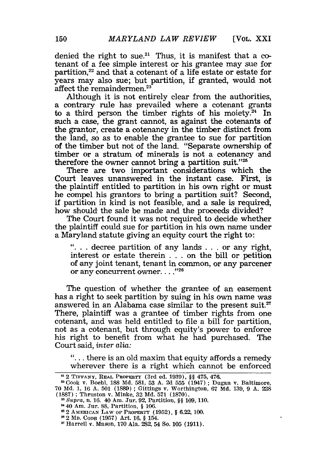$\bullet$ 

denied the right to sue.<sup>21</sup> Thus, it is manifest that a cotenant of a fee simple interest or his grantee may sue for partition,<sup>22</sup> and that a cotenant of a life estate or estate for years may also sue; but partition, if granted, would not affect the remaindermen.<sup>23</sup>

Although it is not entirely clear from the authorities, a contrary rule has prevailed where a cotenant grants to a third person the timber rights of his moiety.<sup>24</sup> In such a case, the grant cannot, as against the cotenants of the grantor, create a cotenancy in the timber distinct from the land, so as to enable the grantee to sue for partition of the timber but not of the land. "Separate ownership of timber or a stratum of minerals is not a cotenancy and therefore the owner cannot bring a partition suit."25

There are two important considerations which the Court leaves unanswered in the instant case. First, is the plaintiff entitled to partition in his own right or must he compel his grantors to bring a partition suit? Second, if partition in kind is not feasible, and a sale is required, how should the sale be made and the proceeds divided?

The Court found it was not required to decide whether the plaintiff could sue for partition in his own name under a Maryland statute giving an equity court the right to:

"... decree partition of any lands ... or any right, interest or estate therein . . .on the bill or petition of any joint tenant, tenant in common, or any parcener or any concurrent owner...."<sup>26</sup>

The question of whether the grantee of an easement has a right to seek partition by suing in his own name was answered in an Alabama case similar to the present suit.<sup>27</sup> There, plaintiff was a grantee of timber rights from one cotenant, and was held entitled to file a bill for partition, not as a cotenant, but through equity's power to enforce his right to benefit from what he had purchased. The Court said, *inter alia:*

**"...** there is an old maxim that equity affords a remedy wherever there is a right which cannot be enforced

<sup>21</sup>2 TIFFANY, REAL PROPERTY (3rd ed. 1939), *§* 475, 476.

<sup>2</sup>Cook v. Boehl, 188 Md. 581, 53 A. 2d 555 (1947) ; Dugan v. Baltimore, 70 Md. 1, 16 A. 501 (1889) ; Gittings v. Worthington, 67 Md. 139, 9 A. 228 (1887) ; Thruston v. Minke, 32 Md. 571 (1870).

Supra, n. 16. 40 Am. Jur. 92, Partition, *§§* 109, 110.

<sup>40</sup> Am. Jur. 88, Partition, § 106. 212 AMERICAN LAW OF PROPERTY **(1952),** § 6.22, 100.

<sup>2&</sup>quot;2 **MD. CODE** (1957) Art. 16, § 154. Harrell v. Mason, 170 Ala. 282, 54 So. 105 (1911).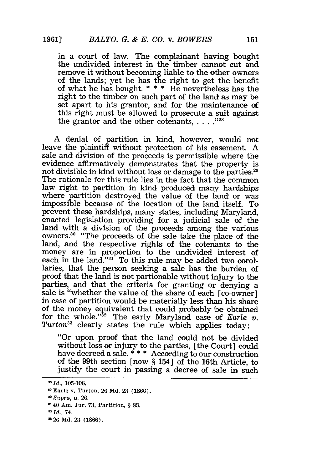in a court of law. The complainant having bought the undivided interest in the timber cannot cut and remove it without becoming liable to the other owners of the lands; yet he has the right to get the benefit of what he has bought. **\* \* \*** He nevertheless has the right to the timber on such part of the land as may be set apart to his grantor, and for the maintenance of this right must be allowed to prosecute a suit against the grantor and the other cotenants.  $\ldots$ <sup>128</sup>

A denial of partition in kind, however, would not leave the plaintiff without protection of his easement. A sale and division of the proceeds is permissible where the evidence affirmatively demonstrates that the property is not divisible in kind without loss or damage to the parties.<sup>29</sup> The rationale for this rule lies in the fact that the common law right to partition in kind produced many hardships where partition destroyed the value of the land or was impossible because of the location of the land itself. To prevent these hardships, many states, including Maryland, enacted legislation providing for a judicial sale of the land with a division of the proceeds among the various owners.<sup>30</sup> "The proceeds of the sale take the place of the land, and the respective rights of the cotenants to the money are in proportion to the undivided interest of each in the land."31" To this rule may be added two corollaries, that the person seeking a sale has the burden of proof that the land is not partionable without injury to the parties, and that the criteria for granting or denying a sale is "whether the value of the share of each [co-owner] in case of partition would be materially less than his share of the money equivalent that could probably be obtained for the whole."<sup>32</sup> The early Maryland case of *Earle v*. *Turton*<sup>33</sup> clearly states the rule which applies today.

"Or upon proof that the land could not be divided without loss or injury to the parties, [the Court] could have decreed a sale. **\* \* \*** According to our construction of the 99th section [now § 154] of the 16th Article, to justify the court in passing a decree of sale in such

<sup>&</sup>lt;sup>28</sup> *Id.*, 105-106.

Earle v. Turton, 26 **Md. 23** (1866).

*Supra, n.* **26.**

<sup>40</sup> Am. Jur. **73,** Partition, **§ 83.**

*<sup>&#</sup>x27;Id.,* 74.

<sup>&</sup>lt;sup>28</sup> 26 Md. 23 (1866).